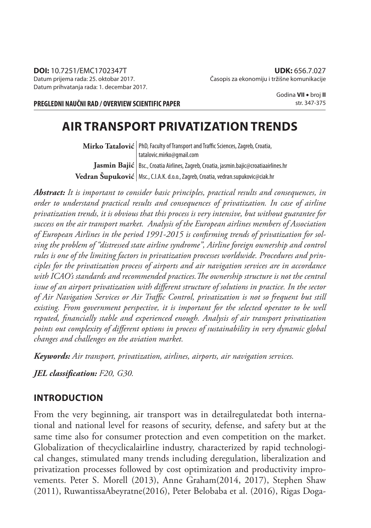**PREGLEDNI NAUČNI RAD / OVERVIEW SCIENTIFIC PAPER**

Godina **VII** broj **II** str. 347-375

# **AIR TRANSPORT PRIVATIZATION TRENDS**

 $\textbf{Mirko Tatalović} \vert$  PhD, Faculty of Transport and Traffic Sciences, Zagreb, Croatia, **Jasmin Bajić** | Bsc., Croatia Airlines, Zagreb, Croatia, jasmin.bajic@croatiaairlines.hr  $\bf{Vedran \; Supuković} \, |$  Msc., C.I.A.K. d.o.o., Zagreb, Croatia, vedran.supukovic@ciak.hr tatalovic.mirko@gmail.com

*Abstract: It is important to consider basic principles, practical results and consequences, in order to understand practical results and consequences of privatization. In case of airline privatization trends, it is obvious that this process is very intensive, but without guarantee for success on the air transport market. Analysis of the European airlines members of Association*  of European Airlines in the period 1991-2015 is confirming trends of privatization for sol*ving the problem of "distressed state airline syndrome", Airline foreign ownership and control rules is one of the limiting factors in privatization processes worldwide. Procedures and principles for the privatization process of airports and air navigation services are in accordance*  with ICAO's standards and recommended practices. The ownership structure is not the central issue of an airport privatization with different structure of solutions in practice. In the sector of Air Navigation Services or Air Traffic Control, privatization is not so frequent but still *existing. From government perspective, it is important for the selected operator to be well*  reputed, financially stable and experienced enough. Analysis of air transport privatization points out complexity of different options in process of sustainability in very dynamic global *changes and challenges on the aviation market.*

*Keywords: Air transport, privatization, airlines, airports, air navigation services.*

*JEL classifi cation: F20, G30.*

#### **INTRODUCTION**

From the very beginning, air transport was in detailregulatedat both international and national level for reasons of security, defense, and safety but at the same time also for consumer protection and even competition on the market. Globalization of thecyclicalairline industry, characterized by rapid technological changes, stimulated many trends including deregulation, liberalization and privatization processes followed by cost optimization and productivity improvements. Peter S. Morell (2013), Anne Graham(2014, 2017), Stephen Shaw (2011), RuwantissaAbeyratne(2016), Peter Belobaba et al. (2016), Rigas Doga-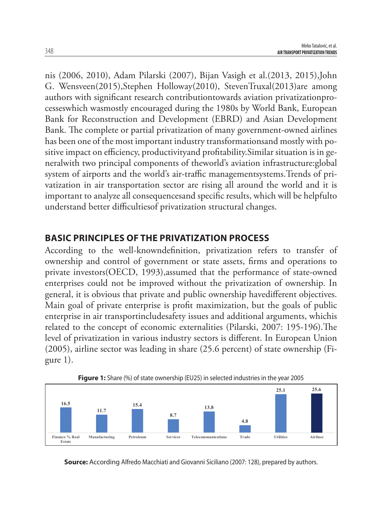nis (2006, 2010), Adam Pilarski (2007), Bijan Vasigh et al.(2013, 2015),John G. Wensveen(2015),Stephen Holloway(2010), StevenTruxal(2013)are among authors with significant research contributiontowards aviation privatizationprocesseswhich wasmostly encouraged during the 1980s by World Bank, European Bank for Reconstruction and Development (EBRD) and Asian Development Bank. The complete or partial privatization of many government-owned airlines has been one of the most important industry transformationsand mostly with positive impact on efficiency, productivityand profitability. Similar situation is in generalwith two principal components of theworld's aviation infrastructure:global system of airports and the world's air-traffic managementsystems. Trends of privatization in air transportation sector are rising all around the world and it is important to analyze all consequencesand specific results, which will be helpfulto understand better difficultiesof privatization structural changes.

### **BASIC PRINCIPLES OF THE PRIVATIZATION PROCESS**

According to the well-knowndefinition, privatization refers to transfer of ownership and control of government or state assets, firms and operations to private investors(OECD, 1993),assumed that the performance of state-owned enterprises could not be improved without the privatization of ownership. In general, it is obvious that private and public ownership havedifferent objectives. Main goal of private enterprise is profit maximization, but the goals of public enterprise in air transportincludesafety issues and additional arguments, whichis related to the concept of economic externalities (Pilarski, 2007: 195-196). The level of privatization in various industry sectors is different. In European Union (2005), airline sector was leading in share (25.6 percent) of state ownership (Figure 1).





**Source:** According Alfredo Macchiati and Giovanni Siciliano (2007: 128), prepared by authors.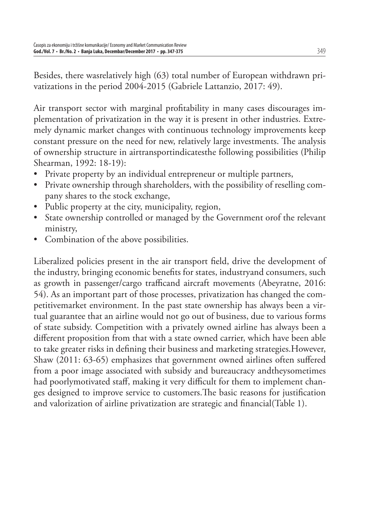Besides, there wasrelatively high (63) total number of European withdrawn privatizations in the period 2004-2015 (Gabriele Lattanzio, 2017: 49).

Air transport sector with marginal profitability in many cases discourages implementation of privatization in the way it is present in other industries. Extremely dynamic market changes with continuous technology improvements keep constant pressure on the need for new, relatively large investments. The analysis of ownership structure in airtransportindicatesthe following possibilities (Philip Shearman, 1992: 18-19):

- Private property by an individual entrepreneur or multiple partners,
- Private ownership through shareholders, with the possibility of reselling company shares to the stock exchange,
- Public property at the city, municipality, region,
- State ownership controlled or managed by the Government orof the relevant ministry,
- Combination of the above possibilities.

Liberalized policies present in the air transport field, drive the development of the industry, bringing economic benefits for states, industryand consumers, such as growth in passenger/cargo trafficand aircraft movements (Abeyratne, 2016: 54). As an important part of those processes, privatization has changed the competitivemarket environment. In the past state ownership has always been a virtual guarantee that an airline would not go out of business, due to various forms of state subsidy. Competition with a privately owned airline has always been a different proposition from that with a state owned carrier, which have been able to take greater risks in defining their business and marketing strategies. However, Shaw (2011: 63-65) emphasizes that government owned airlines often suffered from a poor image associated with subsidy and bureaucracy andtheysometimes had poorlymotivated staff, making it very difficult for them to implement changes designed to improve service to customers. The basic reasons for justification and valorization of airline privatization are strategic and financial(Table 1).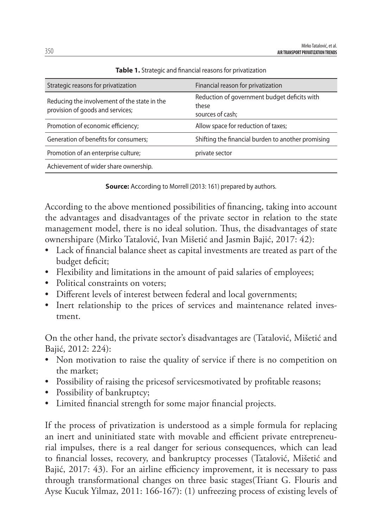| Strategic reasons for privatization                                              | Financial reason for privatization                                        |
|----------------------------------------------------------------------------------|---------------------------------------------------------------------------|
| Reducing the involvement of the state in the<br>provision of goods and services; | Reduction of government budget deficits with<br>these<br>sources of cash; |
| Promotion of economic efficiency;                                                | Allow space for reduction of taxes;                                       |
| Generation of benefits for consumers;                                            | Shifting the financial burden to another promising                        |
| Promotion of an enterprise culture;                                              | private sector                                                            |
| Achievement of wider share ownership.                                            |                                                                           |

**Table 1.** Strategic and financial reasons for privatization

**Source:** According to Morrell (2013: 161) prepared by authors.

According to the above mentioned possibilities of financing, taking into account the advantages and disadvantages of the private sector in relation to the state management model, there is no ideal solution. Thus, the disadvantages of state ownershipare (Mirko Tatalović, Ivan Mišetić and Jasmin Bajić, 2017: 42):

- Lack of financial balance sheet as capital investments are treated as part of the budget deficit;
- Flexibility and limitations in the amount of paid salaries of employees;
- Political constraints on voters;
- Different levels of interest between federal and local governments;
- Inert relationship to the prices of services and maintenance related investment.

On the other hand, the private sector's disadvantages are (Tatalović, Mišetić and Bajić, 2012: 224):

- Non motivation to raise the quality of service if there is no competition on the market;
- Possibility of raising the prices of services motivated by profitable reasons;
- Possibility of bankruptcy;
- Limited financial strength for some major financial projects.

If the process of privatization is understood as a simple formula for replacing an inert and uninitiated state with movable and efficient private entrepreneurial impulses, there is a real danger for serious consequences, which can lead to financial losses, recovery, and bankruptcy processes (Tatalović, Mišetić and Bajić, 2017: 43). For an airline efficiency improvement, it is necessary to pass through transformational changes on three basic stages(Triant G. Flouris and Ayse Kucuk Yilmaz, 2011: 166-167): (1) unfreezing process of existing levels of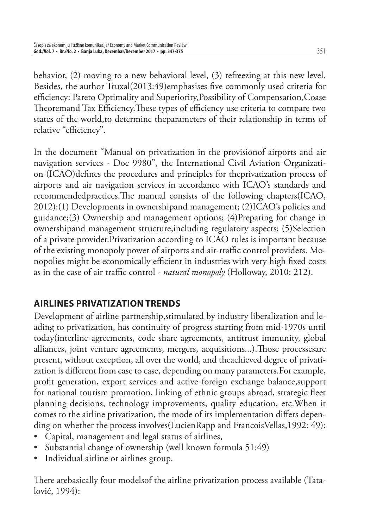behavior, (2) moving to a new behavioral level, (3) refreezing at this new level. Besides, the author Truxal(2013:49)emphasises five commonly used criteria for efficiency: Pareto Optimality and Superiority, Possibility of Compensation, Coase Theoremand Tax Efficiency. These types of efficiency use criteria to compare two states of the world,to determine theparameters of their relationship in terms of relative "efficiency".

In the document "Manual on privatization in the provisionof airports and air navigation services - Doc 9980", the International Civil Aviation Organization (ICAO)defines the procedures and principles for theprivatization process of airports and air navigation services in accordance with ICAO's standards and recommendedpractices. The manual consists of the following chapters(ICAO, 2012):(1) Developments in ownershipand management; (2)ICAO's policies and guidance;(3) Ownership and management options; (4)Preparing for change in ownershipand management structure,including regulatory aspects; (5)Selection of a private provider.Privatization according to ICAO rules is important because of the existing monopoly power of airports and air-traffic control providers. Monopolies might be economically efficient in industries with very high fixed costs as in the case of air traffic control - *natural monopoly* (Holloway, 2010: 212).

# **AIRLINES PRIVATIZATION TRENDS**

Development of airline partnership,stimulated by industry liberalization and leading to privatization, has continuity of progress starting from mid-1970s until today(interline agreements, code share agreements, antitrust immunity, global alliances, joint venture agreements, mergers, acquisitions...). Those processesare present, without exception, all over the world, and theachieved degree of privatization is different from case to case, depending on many parameters. For example, profit generation, export services and active foreign exchange balance, support for national tourism promotion, linking of ethnic groups abroad, strategic fleet planning decisions, technology improvements, quality education, etc.When it comes to the airline privatization, the mode of its implementation differs depending on whether the process involves(LucienRapp and FrancoisVellas,1992: 49):

- Capital, management and legal status of airlines,
- Substantial change of ownership (well known formula 51:49)
- Individual airline or airlines group.

There arebasically four modelsof the airline privatization process available (Tatalović, 1994):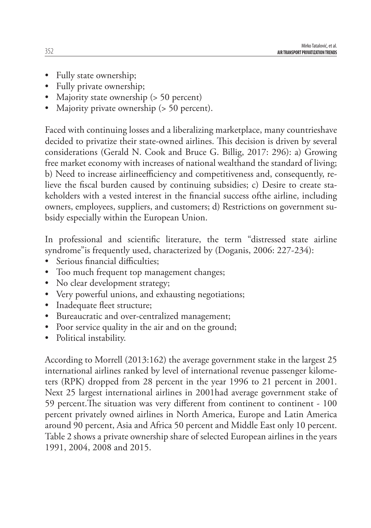- Fully state ownership;
- Fully private ownership;
- Majority state ownership (> 50 percent)
- Majority private ownership (> 50 percent).

Faced with continuing losses and a liberalizing marketplace, many countrieshave decided to privatize their state-owned airlines. This decision is driven by several considerations (Gerald N. Cook and Bruce G. Billig, 2017: 296): a) Growing free market economy with increases of national wealthand the standard of living; b) Need to increase airlineefficiency and competitiveness and, consequently, relieve the fiscal burden caused by continuing subsidies; c) Desire to create stakeholders with a vested interest in the financial success of the airline, including owners, employees, suppliers, and customers; d) Restrictions on government subsidy especially within the European Union.

In professional and scientific literature, the term "distressed state airline syndrome"is frequently used, characterized by (Doganis, 2006: 227-234):

- Serious financial difficulties;
- Too much frequent top management changes;
- No clear development strategy;
- Very powerful unions, and exhausting negotiations;
- Inadequate fleet structure;
- Bureaucratic and over-centralized management;
- Poor service quality in the air and on the ground;
- Political instability.

According to Morrell (2013:162) the average government stake in the largest 25 international airlines ranked by level of international revenue passenger kilometers (RPK) dropped from 28 percent in the year 1996 to 21 percent in 2001. Next 25 largest international airlines in 2001had average government stake of 59 percent. The situation was very different from continent to continent - 100 percent privately owned airlines in North America, Europe and Latin America around 90 percent, Asia and Africa 50 percent and Middle East only 10 percent. Table 2 shows a private ownership share of selected European airlines in the years 1991, 2004, 2008 and 2015.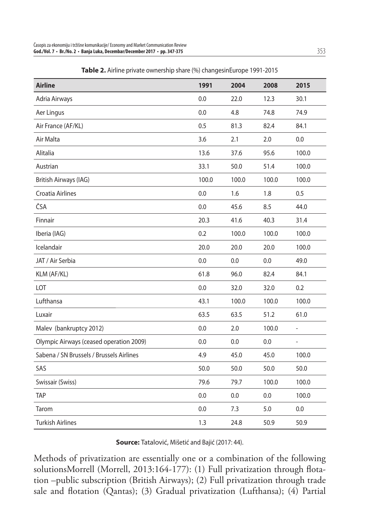| <b>Airline</b>                           | 1991  | 2004  | 2008  | 2015                     |
|------------------------------------------|-------|-------|-------|--------------------------|
| Adria Airways                            | 0.0   | 22.0  | 12.3  | 30.1                     |
| Aer Lingus                               | 0.0   | 4.8   | 74.8  | 74.9                     |
| Air France (AF/KL)                       | 0.5   | 81.3  | 82.4  | 84.1                     |
| Air Malta                                | 3.6   | 2.1   | 2.0   | 0.0                      |
| Alitalia                                 | 13.6  | 37.6  | 95.6  | 100.0                    |
| Austrian                                 | 33.1  | 50.0  | 51.4  | 100.0                    |
| British Airways (IAG)                    | 100.0 | 100.0 | 100.0 | 100.0                    |
| Croatia Airlines                         | 0.0   | 1.6   | 1.8   | 0.5                      |
| ČSA                                      | 0.0   | 45.6  | 8.5   | 44.0                     |
| Finnair                                  | 20.3  | 41.6  | 40.3  | 31.4                     |
| Iberia (IAG)                             | 0.2   | 100.0 | 100.0 | 100.0                    |
| Icelandair                               | 20.0  | 20.0  | 20.0  | 100.0                    |
| JAT / Air Serbia                         | 0.0   | 0.0   | 0.0   | 49.0                     |
| KLM (AF/KL)                              | 61.8  | 96.0  | 82.4  | 84.1                     |
| LOT                                      | 0.0   | 32.0  | 32.0  | 0.2                      |
| Lufthansa                                | 43.1  | 100.0 | 100.0 | 100.0                    |
| Luxair                                   | 63.5  | 63.5  | 51.2  | 61.0                     |
| Malev (bankruptcy 2012)                  | 0.0   | 2.0   | 100.0 | $\overline{\phantom{0}}$ |
| Olympic Airways (ceased operation 2009)  | 0.0   | 0.0   | 0.0   | $\overline{\phantom{a}}$ |
| Sabena / SN Brussels / Brussels Airlines | 4.9   | 45.0  | 45.0  | 100.0                    |
| SAS                                      | 50.0  | 50.0  | 50.0  | 50.0                     |
| Swissair (Swiss)                         | 79.6  | 79.7  | 100.0 | 100.0                    |
| <b>TAP</b>                               | 0.0   | 0.0   | 0.0   | 100.0                    |
| Tarom                                    | 0.0   | 7.3   | 5.0   | 0.0                      |
| <b>Turkish Airlines</b>                  | 1.3   | 24.8  | 50.9  | 50.9                     |

**Table 2.** Airline private ownership share (%) changesinEurope 1991-2015

**Source:** Tatalović, Mišetić and Bajić (2017: 44).

Methods of privatization are essentially one or a combination of the following solutionsMorrell (Morrell, 2013:164-177): (1) Full privatization through flotation –public subscription (British Airways); (2) Full privatization through trade sale and flotation (Qantas); (3) Gradual privatization (Lufthansa); (4) Partial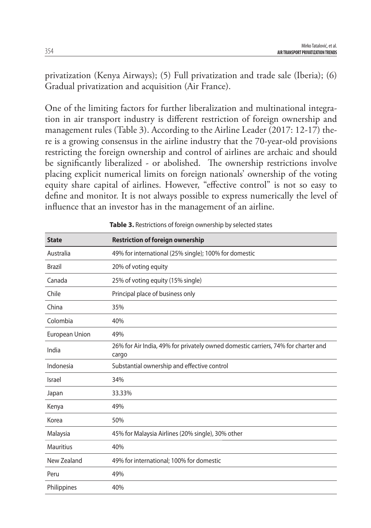privatization (Kenya Airways); (5) Full privatization and trade sale (Iberia); (6) Gradual privatization and acquisition (Air France).

One of the limiting factors for further liberalization and multinational integration in air transport industry is different restriction of foreign ownership and management rules (Table 3). According to the Airline Leader (2017: 12-17) there is a growing consensus in the airline industry that the 70-year-old provisions restricting the foreign ownership and control of airlines are archaic and should be significantly liberalized - or abolished. The ownership restrictions involve placing explicit numerical limits on foreign nationals' ownership of the voting equity share capital of airlines. However, "effective control" is not so easy to define and monitor. It is not always possible to express numerically the level of influence that an investor has in the management of an airline.

| <b>State</b>     | <b>Restriction of foreign ownership</b>                                                    |
|------------------|--------------------------------------------------------------------------------------------|
| Australia        | 49% for international (25% single); 100% for domestic                                      |
| <b>Brazil</b>    | 20% of voting equity                                                                       |
| Canada           | 25% of voting equity (15% single)                                                          |
| Chile            | Principal place of business only                                                           |
| China            | 35%                                                                                        |
| Colombia         | 40%                                                                                        |
| European Union   | 49%                                                                                        |
| India            | 26% for Air India, 49% for privately owned domestic carriers, 74% for charter and<br>cargo |
| Indonesia        | Substantial ownership and effective control                                                |
| Israel           | 34%                                                                                        |
| Japan            | 33.33%                                                                                     |
| Kenya            | 49%                                                                                        |
| Korea            | 50%                                                                                        |
| Malaysia         | 45% for Malaysia Airlines (20% single), 30% other                                          |
| <b>Mauritius</b> | 40%                                                                                        |
| New Zealand      | 49% for international; 100% for domestic                                                   |
| Peru             | 49%                                                                                        |
| Philippines      | 40%                                                                                        |

**Table 3.** Restrictions of foreign ownership by selected states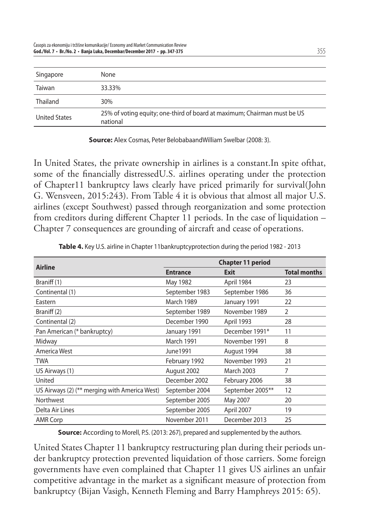| Singapore            | None                                                                                 |
|----------------------|--------------------------------------------------------------------------------------|
| Taiwan               | 33.33%                                                                               |
| Thailand             | 30%                                                                                  |
| <b>United States</b> | 25% of voting equity; one-third of board at maximum; Chairman must be US<br>national |

**Source:** Alex Cosmas, Peter BelobabaandWilliam Swelbar (2008: 3).

In United States, the private ownership in airlines is a constant.In spite ofthat, some of the financially distressedU.S. airlines operating under the protection of Chapter11 bankruptcy laws clearly have priced primarily for survival(John G. Wensveen, 2015:243). From Table 4 it is obvious that almost all major U.S. airlines (except Southwest) passed through reorganization and some protection from creditors during different Chapter 11 periods. In the case of liquidation – Chapter 7 consequences are grounding of aircraft and cease of operations.

| <b>Airline</b>                                | <b>Chapter 11 period</b> |                  |                     |
|-----------------------------------------------|--------------------------|------------------|---------------------|
|                                               | <b>Entrance</b>          | Exit             | <b>Total months</b> |
| Braniff (1)                                   | May 1982                 | April 1984       | 23                  |
| Continental (1)                               | September 1983           | September 1986   | 36                  |
| Eastern                                       | <b>March 1989</b>        | January 1991     | 22                  |
| Braniff (2)                                   | September 1989           | November 1989    | $\mathcal{P}$       |
| Continental (2)                               | December 1990            | April 1993       | 28                  |
| Pan American (* bankruptcy)                   | January 1991             | December 1991*   | 11                  |
| Midway                                        | <b>March 1991</b>        | November 1991    | 8                   |
| America West                                  | June1991                 | August 1994      | 38                  |
| <b>TWA</b>                                    | February 1992            | November 1993    | 21                  |
| US Airways (1)                                | August 2002              | March 2003       | 7                   |
| United                                        | December 2002            | February 2006    | 38                  |
| US Airways (2) (** merging with America West) | September 2004           | September 2005** | 12                  |
| Northwest                                     | September 2005           | May 2007         | 20                  |
| Delta Air Lines                               | September 2005           | April 2007       | 19                  |
| <b>AMR Corp</b>                               | November 2011            | December 2013    | 25                  |

**Table 4.** Key U.S. airline in Chapter 11bankruptcyprotection during the period 1982 - 2013

**Source:** According to Morell, P.S. (2013: 267), prepared and supplemented by the authors.

United States Chapter 11 bankruptcy restructuring plan during their periods under bankruptcy protection prevented liquidation of those carriers. Some foreign governments have even complained that Chapter 11 gives US airlines an unfair competitive advantage in the market as a significant measure of protection from bankruptcy (Bijan Vasigh, Kenneth Fleming and Barry Hamphreys 2015: 65).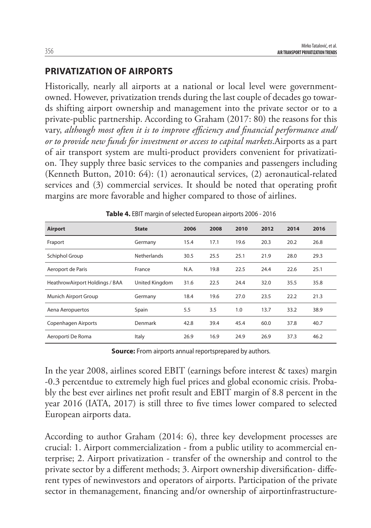#### **PRIVATIZATION OF AIRPORTS**

Historically, nearly all airports at a national or local level were governmentowned. However, privatization trends during the last couple of decades go towards shifting airport ownership and management into the private sector or to a private-public partnership. According to Graham (2017: 80) the reasons for this vary, *although most often it is to improve efficiency and financial performance and/ or to provide new funds for investment or access to capital markets*.Airports as a part of air transport system are multi-product providers convenient for privatization. They supply three basic services to the companies and passengers including (Kenneth Button, 2010: 64): (1) aeronautical services, (2) aeronautical-related services and (3) commercial services. It should be noted that operating profit margins are more favorable and higher compared to those of airlines.

| Airport                        | <b>State</b>       | 2006 | 2008 | 2010 | 2012 | 2014 | 2016 |
|--------------------------------|--------------------|------|------|------|------|------|------|
| Fraport                        | Germany            | 15.4 | 17.1 | 19.6 | 20.3 | 20.2 | 26.8 |
| Schiphol Group                 | <b>Netherlands</b> | 30.5 | 25.5 | 25.1 | 21.9 | 28.0 | 29.3 |
| Aeroport de Paris              | France             | N.A. | 19.8 | 22.5 | 24.4 | 22.6 | 25.1 |
| HeathrowAirport Holdings / BAA | United Kingdom     | 31.6 | 22.5 | 24.4 | 32.0 | 35.5 | 35.8 |
| Munich Airport Group           | Germany            | 18.4 | 19.6 | 27.0 | 23.5 | 22.2 | 21.3 |
| Aena Aeropuertos               | Spain              | 5.5  | 3.5  | 1.0  | 13.7 | 33.2 | 38.9 |
| Copenhagen Airports            | Denmark            | 42.8 | 39.4 | 45.4 | 60.0 | 37.8 | 40.7 |
| Aeroporti De Roma              | Italy              | 26.9 | 16.9 | 24.9 | 26.9 | 37.3 | 46.2 |

| Table 4. EBIT margin of selected European airports 2006 - 2016 |  |  |  |
|----------------------------------------------------------------|--|--|--|
|                                                                |  |  |  |

**Source:** From airports annual reportsprepared by authors.

In the year 2008, airlines scored EBIT (earnings before interest & taxes) margin -0.3 percentdue to extremely high fuel prices and global economic crisis. Probably the best ever airlines net profit result and EBIT margin of 8.8 percent in the year 2016 (IATA, 2017) is still three to five times lower compared to selected European airports data.

According to author Graham (2014: 6), three key development processes are crucial: 1. Airport commercialization - from a public utility to acommercial enterprise; 2. Airport privatization - transfer of the ownership and control to the private sector by a different methods; 3. Airport ownership diversification- different types of newinvestors and operators of airports. Participation of the private sector in themanagement, financing and/or ownership of airportinfrastructure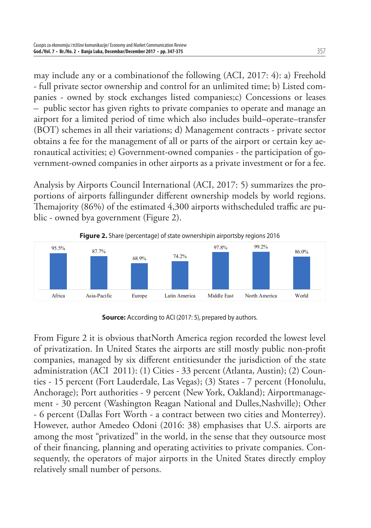may include any or a combinationof the following (ACI, 2017: 4): a) Freehold - full private sector ownership and control for an unlimited time; b) Listed companies - owned by stock exchanges listed companies;c) Concessions or leases – public sector has given rights to private companies to operate and manage an airport for a limited period of time which also includes build–operate–transfer (BOT) schemes in all their variations; d) Management contracts - private sector obtains a fee for the management of all or parts of the airport or certain key aeronautical activities; e) Government-owned companies - the participation of government-owned companies in other airports as a private investment or for a fee.

Analysis by Airports Council International (ACI, 2017: 5) summarizes the proportions of airports fallingunder different ownership models by world regions. Themajority (86%) of the estimated 4,300 airports withscheduled traffic are public - owned bya government (Figure 2).



**Source:** According to ACI (2017: 5), prepared by authors.

From Figure 2 it is obvious thatNorth America region recorded the lowest level of privatization. In United States the airports are still mostly public non-profit companies, managed by six different entitiesunder the jurisdiction of the state administration (ACI 2011): (1) Cities - 33 percent (Atlanta, Austin); (2) Counties - 15 percent (Fort Lauderdale, Las Vegas); (3) States - 7 percent (Honolulu, Anchorage); Port authorities - 9 percent (New York, Oakland); Airportmanagement - 30 percent (Washington Reagan National and Dulles,Nashville); Other - 6 percent (Dallas Fort Worth - a contract between two cities and Monterrey). However, author Amedeo Odoni (2016: 38) emphasises that U.S. airports are among the most "privatized" in the world, in the sense that they outsource most of their financing, planning and operating activities to private companies. Consequently, the operators of major airports in the United States directly employ relatively small number of persons.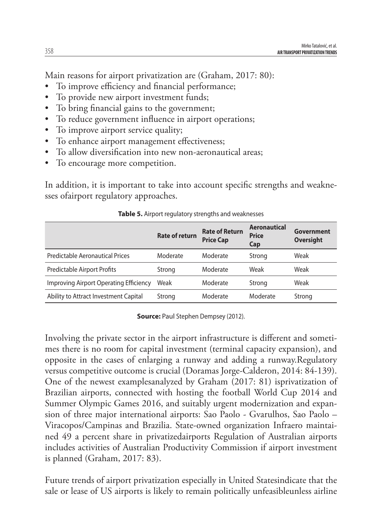Main reasons for airport privatization are (Graham, 2017: 80):

- To improve efficiency and financial performance;
- To provide new airport investment funds;
- To bring financial gains to the government;
- To reduce government influence in airport operations;
- To improve airport service quality;
- To enhance airport management effectiveness;
- To allow diversification into new non-aeronautical areas;
- To encourage more competition.

In addition, it is important to take into account specific strengths and weaknesses ofairport regulatory approaches.

|                                        | <b>Rate of return</b> | <b>Rate of Return</b><br><b>Price Cap</b> | <b>Aeronautical</b><br><b>Price</b><br>Cap | Government<br><b>Oversight</b> |
|----------------------------------------|-----------------------|-------------------------------------------|--------------------------------------------|--------------------------------|
| Predictable Aeronautical Prices        | Moderate              | Moderate                                  | Strong                                     | Weak                           |
| <b>Predictable Airport Profits</b>     | Strong                | Moderate                                  | Weak                                       | Weak                           |
| Improving Airport Operating Efficiency | Weak                  | Moderate                                  | Strong                                     | Weak                           |
| Ability to Attract Investment Capital  | Strong                | Moderate                                  | Moderate                                   | Strong                         |

**Table 5.** Airport regulatory strengths and weaknesses

**Source: Paul Stephen Dempsey (2012).** 

Involving the private sector in the airport infrastructure is different and sometimes there is no room for capital investment (terminal capacity expansion), and opposite in the cases of enlarging a runway and adding a runway.Regulatory versus competitive outcome is crucial (Doramas Jorge-Calderon, 2014: 84-139). One of the newest examplesanalyzed by Graham (2017: 81) isprivatization of Brazilian airports, connected with hosting the football World Cup 2014 and Summer Olympic Games 2016, and suitably urgent modernization and expansion of three major international airports: Sao Paolo - Gvarulhos, Sao Paolo – Viracopos/Campinas and Brazilia. State-owned organization Infraero maintained 49 a percent share in privatizedairports Regulation of Australian airports includes activities of Australian Productivity Commission if airport investment is planned (Graham, 2017: 83).

Future trends of airport privatization especially in United Statesindicate that the sale or lease of US airports is likely to remain politically unfeasibleunless airline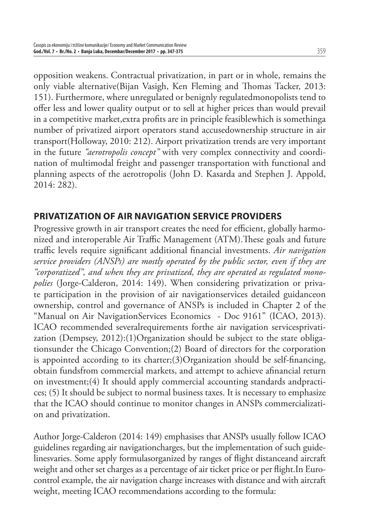opposition weakens. Contractual privatization, in part or in whole, remains the only viable alternative(Bijan Vasigh, Ken Fleming and Thomas Tacker, 2013: 151). Furthermore, where unregulated or benignly regulatedmonopolists tend to offer less and lower quality output or to sell at higher prices than would prevail in a competitive market, extra profits are in principle feasiblewhich is somethinga number of privatized airport operators stand accusedownership structure in air transport(Holloway, 2010: 212). Airport privatization trends are very important in the future *"aerotropolis concept"* with very complex connectivity and coordination of multimodal freight and passenger transportation with functional and planning aspects of the aerotropolis (John D. Kasarda and Stephen J. Appold, 2014: 282).

#### **PRIVATIZATION OF AIR NAVIGATION SERVICE PROVIDERS**

Progressive growth in air transport creates the need for efficient, globally harmonized and interoperable Air Traffic Management (ATM). These goals and future traffic levels require significant additional financial investments. *Air navigation service providers (ANSPs) are mostly operated by the public sector, even if they are "corporatized", and when they are privatized, they are operated as regulated monopolies* (Jorge-Calderon, 2014: 149). When considering privatization or private participation in the provision of air navigationservices detailed guidanceon ownership, control and governance of ANSPs is included in Chapter 2 of the "Manual on Air NavigationServices Economics - Doc 9161" (ICAO, 2013). ICAO recommended severalrequirements forthe air navigation servicesprivatization (Dempsey, 2012):(1)Organization should be subject to the state obligationsunder the Chicago Convention;(2) Board of directors for the corporation is appointed according to its charter; $(3)$ Organization should be self-financing, obtain fundsfrom commercial markets, and attempt to achieve afinancial return on investment;(4) It should apply commercial accounting standards andpractices; (5) It should be subject to normal business taxes. It is necessary to emphasize that the ICAO should continue to monitor changes in ANSPs commercialization and privatization.

Author Jorge-Calderon (2014: 149) emphasises that ANSPs usually follow ICAO guidelines regarding air navigationcharges, but the implementation of such guidelinesvaries. Some apply formulasorganized by ranges of flight distanceand aircraft weight and other set charges as a percentage of air ticket price or per flight. In Eurocontrol example, the air navigation charge increases with distance and with aircraft weight, meeting ICAO recommendations according to the formula: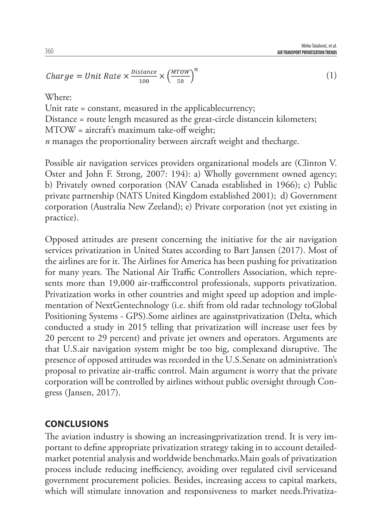Mirko Tatalović, et al. **AIR TRANSPORT PRIVATIZATION TRENDS**

(1)

$$
Change = Unit Rate \times \frac{Distance}{100} \times \left(\frac{MTOW}{50}\right)^n
$$

Where:

Unit rate = constant, measured in the applicablecurrency;

Distance = route length measured as the great-circle distancein kilometers;

MTOW = aircraft's maximum take-off weight;

*n* manages the proportionality between aircraft weight and thecharge.

Possible air navigation services providers organizational models are (Clinton V. Oster and John F. Strong, 2007: 194): a) Wholly government owned agency; b) Privately owned corporation (NAV Canada established in 1966); c) Public private partnership (NATS United Kingdom established 2001); d) Government corporation (Australia New Zeeland); e) Private corporation (not yet existing in practice).

Opposed attitudes are present concerning the initiative for the air navigation services privatization in United States according to Bart Jansen (2017). Most of the airlines are for it. The Airlines for America has been pushing for privatization for many years. The National Air Traffic Controllers Association, which represents more than 19,000 air-trafficcontrol professionals, supports privatization. Privatization works in other countries and might speed up adoption and implementation of NextGentechnology (i.e. shift from old radar technology toGlobal Positioning Systems - GPS).Some airlines are againstprivatization (Delta, which conducted a study in 2015 telling that privatization will increase user fees by 20 percent to 29 percent) and private jet owners and operators. Arguments are that U.S.air navigation system might be too big, complexand disruptive. The presence of opposed attitudes was recorded in the U.S.Senate on administration's proposal to privatize air-traffic control. Main argument is worry that the private corporation will be controlled by airlines without public oversight through Congress (Jansen, 2017).

#### **CONCLUSIONS**

The aviation industry is showing an increasingprivatization trend. It is very important to define appropriate privatization strategy taking in to account detailedmarket potential analysis and worldwide benchmarks.Main goals of privatization process include reducing inefficiency, avoiding over regulated civil servicesand government procurement policies. Besides, increasing access to capital markets, which will stimulate innovation and responsiveness to market needs. Privatiza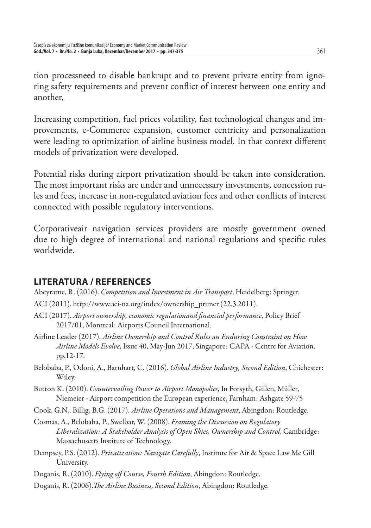tion processneed to disable bankrupt and to prevent private entity from ignoring safety requirements and prevent conflict of interest between one entity and another,

Increasing competition, fuel prices volatility, fast technological changes and improvements, e-Commerce expansion, customer centricity and personalization were leading to optimization of airline business model. In that context different models of privatization were developed.

Potential risks during airport privatization should be taken into consideration. The most important risks are under and unnecessary investments, concession rules and fees, increase in non-regulated aviation fees and other conflicts of interest connected with possible regulatory interventions.

Corporativeair navigation services providers are mostly government owned due to high degree of international and national regulations and specific rules worldwide.

# **LITERATURA / REFERENCES**

- Abeyratne, R. (2016). *Competition and Investment in Air Transport*, Heidelberg: Springer.
- ACI (2011). http://www.aci-na.org/index/ownership\_primer (22.3.2011).
- ACI (2017). Airport ownership, economic regulationand financial performance, Policy Brief 2017/01, Montreal: Airports Council International.
- Airline Leader (2017). *Airline Ownership and Control Rules an Enduring Constraint on How Airline Models Evolve*, Issue 40, May-Jun 2017, Singapore: CAPA - Centre for Aviation. pp.12-17.
- Belobaba, P., Odoni, A., Barnhart, C. (2016). *Global Airline Industry, Second Edition*, Chichester: Wiley.
- Button K. (2010). *Countervailing Power to Airport Monopolies*, In Forsyth, Gillen, Müller, Niemeier - Airport competition the European experience, Farnham: Ashgate 59-75

Cook, G.N., Billig, B.G. (2017). *Airline Operations and Management*, Abingdon: Routledge.

- Cosmas, A., Belobaba, P., Swelbar, W. (2008). *Framing the Discussion on Regulatory Liberalization: A Stakeholder Analysis of Open Skies, Ownership and Control*, Cambridge: Massachusetts Institute of Technology.
- Dempsey, P.S. (2012). *Privatization: Navigate Carefully*, Institute for Air & Space Law Mc Gill University.
- Doganis, R. (2010). *Flying off Course, Fourth Edition*, Abingdon: Routledge.
- Doganis, R. (2006). *The Airline Business, Second Edition*, Abingdon: Routledge.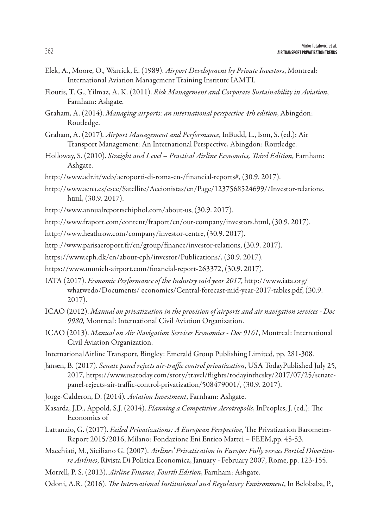- Elek, A., Moore, O., Warrick, E. (1989). *Airport Development by Private Investors*, Montreal: International Aviation Management Training Institute IAMTI.
- Flouris, T. G., Yilmaz, A. K. (2011). *Risk Management and Corporate Sustainability in Aviation*, Farnham: Ashgate.
- Graham, A. (2014). *Managing airports: an international perspective 4th edition*, Abingdon: Routledge.
- Graham, A. (2017)*. Airport Management and Performance*, InBudd, L., Ison, S. (ed.): Air Transport Management: An International Perspective, Abingdon: Routledge.
- Holloway, S. (2010). *Straight and Level Practical Airline Economics, Third Edition*, Farnham: Ashgate.
- http://www.adr.it/web/aeroporti-di-roma-en-/financial-reports#, (30.9. 2017).
- http://www.aena.es/csee/Satellite/Accionistas/en/Page/1237568524699//Investor-relations. html, (30.9. 2017).
- http://www.annualreportschiphol.com/about-us, (30.9. 2017).
- http://www.fraport.com/content/fraport/en/our-company/investors.html, (30.9. 2017).
- http://www.heathrow.com/company/investor-centre, (30.9. 2017).
- http://www.parisaeroport.fr/en/group/finance/investor-relations, (30.9.2017).
- https://www.cph.dk/en/about-cph/investor/Publications/, (30.9. 2017).
- https://www.munich-airport.com/financial-report-263372, (30.9.2017).
- IATA (2017). *Economic Performance of the Industry mid year 2017*, http://www.iata.org/ whatwedo/Documents/ economics/Central-forecast-mid-year-2017-tables.pdf, (30.9. 2017).
- ICAO (2012). *Manual on privatization in the provision of airports and air navigation services Doc 9980*, Montreal: International Civil Aviation Organization.
- ICAO (2013). *Manual on Air Navigation Services Economics Doc 9161*, Montreal: International Civil Aviation Organization.
- InternationalAirline Transport, Bingley: Emerald Group Publishing Limited, pp. 281-308.
- Jansen, B. (2017). *Senate panel rejects air-traffic control privatization*, USA TodayPublished July 25, 2017, https://www.usatoday.com/story/travel/flights/todayinthesky/2017/07/25/senatepanel-rejects-air-traffic-control-privatization/508479001/, (30.9.2017).
- Jorge-Calderon, D. (2014)*. Aviation Investment*, Farnham: Ashgate.
- Kasarda, J.D., Appold, S.J. (2014). *Planning a Competitive Aerotropolis*, InPeoples, J. (ed.): The Economics of
- Lattanzio, G. (2017). *Failed Privatizations: A European Perspective*, The Privatization Barometer-Report 2015/2016, Milano: Fondazione Eni Enrico Mattei – FEEM,pp. 45-53.
- Macchiati, M., Siciliano G. (2007). *Airlines' Privatization in Europe: Fully versus Partial Divestiture Airlines*, Rivista Di Politica Economica, January - February 2007, Rome, pp. 123-155.
- Morrell, P. S. (2013). *Airline Finance*, *Fourth Edition*, Farnham: Ashgate.
- Odoni, A.R. (2016). *The International Institutional and Regulatory Environment*, In Belobaba, P.,